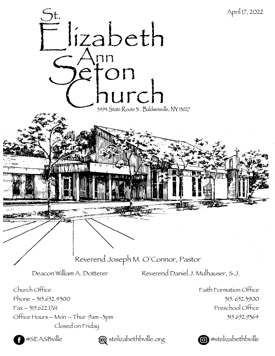

**@SEASBville**  $\bullet$  stelizabethbville.org **@**@stelizabethbville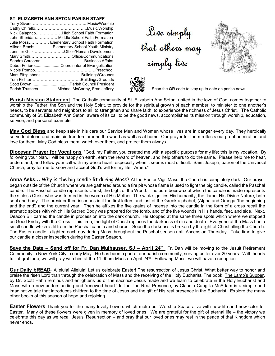## **ST. ELIZABETH ANN SETON PARISH STAFF**

| John Sheridan Middle School Faith Formation    |
|------------------------------------------------|
| Julie Moss Elementary School Faith Formation   |
| Allison BrachtElementary School Youth Ministry |
| Jennifer GuildOffice/Human Development         |
| Mary SmithOffice/Communications                |
|                                                |
| Debra ForieroCoordinator of Evangelization     |
|                                                |
|                                                |
|                                                |
|                                                |
| Parish TrusteesMichael McCarthy, Fran Jeffery  |

Live simply<br>that others may<br>simply live





Scan the QR code to stay up to date on parish news.

**Parish Mission Statement** The Catholic community of St. Elizabeth Ann Seton, united in the love of God, comes together to worship the Father, the Son and the Holy Spirit, to provide for the spiritual growth of each member, to minister to one another's needs, to be servants and neighbors to all, to strengthen and share faith, to experience the richness of Jesus Christ. The Catholic community of St. Elizabeth Ann Seton, aware of its call to be the good news, accomplishes its mission through worship, education, service, and personal example.

**May God Bless** and keep safe in his care our Service Men and Women whose lives are in danger every day. They heroically serve to defend and maintain freedom around the world as well as at home. Our prayer for them reflects our great admiration and love for them. May God bless them, watch over them, and protect them always.

**Diocesan Prayer for Vocations** "God, my Father, you created me with a specific purpose for my life; this is my vocation. By following your plan, I will be happy on earth, earn the reward of heaven, and help others to do the same. Please help me to hear, understand, and follow your call with my whole heart, especially when it seems most difficult. Saint Joseph, patron of the Universal Church, pray for me to know and accept God's will for my life. Amen."

**Anna Asks...** Why is the big candle lit during Mass? At the Easter Vigil Mass, the Church is completely dark. Our prayer began outside of the Church where we are gathered around a fire pit whose flame is used to light the big candle, called the Paschal candle. The Paschal candle represents Christ, the Light of the World. The pure beeswax of which the candle is made represents the sinless Christ who was formed in the womb of His Mother. The wick signifies His humanity, the flame, His Divine Nature, both soul and body. The presider then inscribes in it the first letters and last of the Greek alphabet, (Alpha and Omega `the beginning and the end') and the current year. Then he affixes the five grains of incense into the candle in the form of a cross recall the aromatic spices with which His Sacred Body was prepared for the tomb, and of the five wounds in His hands, feet, and side. Next, Deacon Bill carried the candle in procession into the dark church. He stopped at the same three spots which where we stopped on Good Friday with the Cross. This time, the light of Christ replaces the darkness of sin and death. Everyone at the Mass has a small candle which is lit from the Paschal candle and shared. Soon the darkness is broken by the light of Christ filling the Church. The Easter candle is lighted each day during Mass throughout the Paschal season until Ascension Thursday. Take time to give our candle a closer inspection during the Easter Season.

**Save the Date – Send off for Fr. Dan Mulhauser, SJ – April 24th** Fr. Dan will be moving to the Jesuit Retirement Community in New York City in early May. He has been a part of our parish community, serving us for over 20 years. With hearts full of gratitude, we will pray with him at the 11:00am Mass on April 24<sup>th</sup>. Following Mass, we will have a reception.

**Our Daily bREAD**- Alleluia! Alleluia! Let us celebrate Easter! The resurrection of Jesus Christ. What better way to honor and praise the risen Lord than through the celebration of Mass and the receiving of the Holy Eucharist. The book, The Lamb's Supper, by Dr. Scott Hahn reminds and enlightens us of the sacrifice Jesus made and we learn to celebrate in the Holy Eucharist and Mass with a new understanding and 'renewed heart.' In the The Real Presence, by Claudia Cangilla McAdam is a simple and imaginative tale that introduces children to the time of Jesus and the gift of His real presence in the Eucharist. Explore the many other books of this season of hope and rejoicing.

**Easter Flowers** Thank you for the many lovely flowers which make our Worship Space alive with new life and new color for Easter. Many of these flowers were given in memory of loved ones. We are grateful for the gift of eternal life – the victory we celebrate this day as we recall Jesus' Resurrection – and pray that our loved ones may rest in the peace of that Kingdom which never ends.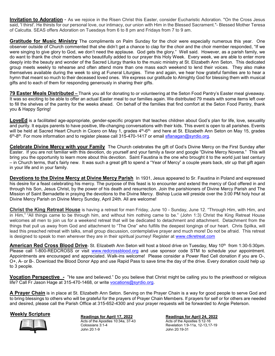**Invitation to Adoration** - As we rejoice in the Risen Christ this Easter, consider Eucharistic Adoration. "On the Cross Jesus said, 'I thirst'. He thirsts for our personal love, our intimacy, our union with Him in the Blessed Sacrament."- Blessed Mother Teresa of Calcutta. SEAS offers Adoration on Tuesdays from 6 to 8 pm and Fridays from 7 to 9 am.

**Gratitude for Music Ministry** The compliments on Palm Sunday for the choir were especially numerous this year. One observer outside of Church commented that she didn't get a chance to clap for the choir and the choir member responded, "If we were singing to give glory to God, we don't need the applause. God gets the glory." Well said. However, as a parish family, we do want to thank the choir members who beautifully added to our prayer this Holy Week. Every week, we are able to enter more deeply into the beauty and wonder of the Sacred Liturgy thanks to the music ministry at St. Elizabeth Ann Seton. This dedicated group meets weekly to rehearse and often attend more than one mass each weekend to lend their voices. They also make themselves available during the week to sing at Funeral Liturgies. Time and again, we hear how grateful families are to hear a hymn that meant so much to their deceased loved ones. We express our gratitude to Almighty God for blessing them with musical gifts and to each of them for responding generously in sharing their gifts.

**79 Easter Meals Distributed –** Thank you all for donating to or volunteering at the Seton Food Pantry's Easter meal giveaway. It was so exciting to be able to offer an actual Easter meal to our families again. We distributed 79 meals with some items left over to fill the shelves of the pantry for the weeks ahead. On behalf of the families that find comfort at the Seton Food Pantry, thank you & Happy Spring!

**LoveEd** is a facilitated age-appropriate, gender-specific program that teaches children about God's plan for life, love, sexuality and purity. It equips parents to have positive, life-changing conversations with their kids. This event is open to all parishes. Events will be held at Sacred Heart Church in Cicero on May 1, grades 4<sup>th</sup>-6<sup>th,</sup> and here at St. Elizabeth Ann Seton on May 15, grades 6<sup>th</sup>-8<sup>th</sup>. For more information and to register please call 315-470-1417 or email <u>sflanagan@syrdio.org</u>.

**Celebrate Divine Mercy with your Family** The Church celebrates the gift of God's Divine Mercy on the First Sunday after Easter. If you are not familiar with this devotion, do yourself and your family a favor and google "Divine Mercy Novena." This will bring you the opportunity to learn more about this devotion. Saint Faustina is the one who brought it to the world just last century – in Church terms, that's fairly new. It was such a great gift to spend a "Year of Mercy" a couple years back, stir up that gift again in your life and in your family.

**Devotions to the Divine Mercy at Divine Mercy Parish** In 1931, Jesus appeared to Sr. Faustina in Poland and expressed his desire for a feast celebrating his mercy. The purpose of this feast is to encounter and extend the mercy of God offered in and through his Son, Jesus Christ, by the power of his death and resurrection. Join the parishioners of Divine Mercy Parish and The Mission of Saint Bernadette in praying the devotions to the Divine Mercy. Bishop Lucia will preside over the 3:00 PM holy hour at Divine Mercy Parish on Divine Mercy Sunday, April 24th. All are welcome!

**Christ the King Retreat House** is having a retreat for men Friday, June 10 - Sunday, June 12. "Through Him, with Him, and in Him," "All things came to be through him, and without him nothing came to be." (John 1:3) Christ the King Retreat House welcomes all men to join us for a weekend retreat that will be dedicated to detachment and attachment. Detachment from the things that pull us away from God and attachment to "The One" who fulfills the deepest longings of our heart. Chris Spilka, will lead this preached retreat with talks, small group discussion, contemplative prayer and much more! Do not be afraid. This retreat is designed to speak to men wherever they are in their spiritual journey! Register at www.ctkretreat.com

**American Red Cross Blood Drive**- St. Elizabeth Ann Seton will host a blood drive on Tuesday, May 10<sup>th</sup> from 1:30-5:30pm. Please call 1-800-REDCROSS or visit www.redcrossblood.org and use sponsor code STM to schedule your appointment. Appointments are encouraged and appreciated. Walk-ins welcome! Please consider a Power Red Cell donation if you are O-, O+, A- or B-. Download the Blood Donor App and use Rapid Pass to save time the day of the drive. Every donation could help up to 3 people.

**Vocation Perspective -** "He saw and believed." Do you believe that Christ might be calling you to the priesthood or religious life? Call Fr Jason Hage at 315-470-1468, or write vocations@syrdio.org.

**A Prayer Chain** is in place at St. Elizabeth Ann Seton. Serving on the Prayer Chain is a way for good people to serve God and to bring blessings to others who will be grateful for the prayers of Prayer Chain Members. If prayers for self or for others are needed and desired, please call the Parish Office at 315-652-4300 and your prayer requests will be forwarded to Angie Peterson.



**Weekly Scripture Readings for April 17, 2022** Acts of the Apostles 10:34a, 37-43 Colossians 3:1-4 John 20:1-9

**Readings for April 24, 2022**  Acts of the Apostles 5:12-16

Revelation 1:9-11a, 12-13,17-19 John 20:19-31